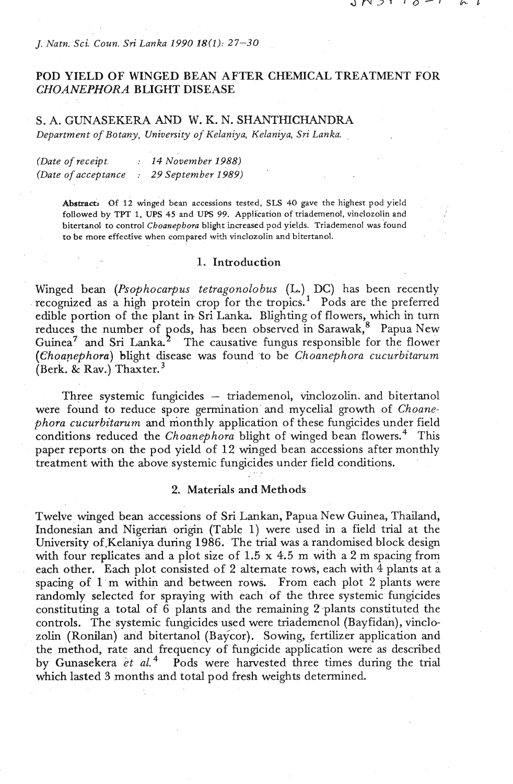*J. Natn. Sci Coun. Sri Lanka 1990* **18(1):** *27-30* 

# POD YIELD OF WINGED BEAN AFTER CHEMICAL TREATMENT FOR CHOANEPHORA BLIGHT DISEASE

# S. A. GUNASEKERA AND W. K. N. SHANTHICHANDRA *Department of Bo tany, University of Kelaniya, Kelaniya,* **Sri** *Lan ka.*

| (Date of receipt.   | 14 November 1988)  |
|---------------------|--------------------|
| (Date of acceptance | 29 September 1989) |

**Abstram Of 12 winged bean accessions tested, SLS** 40 **gave the highest pod yield followed by TPT 1, UPS** 45 **and UPS 99. Application of triademenol, vinclozolin and** <sup>I</sup> **bitertanol to control** *Choanephora* **blight increased pod yields. Triademenol was found**  to be more effective when compared with vinclozolin and bitertanol.

### **1.** Introduction

Winged bean (Psophocarpus tetragonolobus (L.) DC) has been recently recognized as a high protein crop for the tropics.<sup>1</sup> Pods are the preferred edible portion of the plant in Sri Lanka. Blighting of flowers, which in turn reduces the number of pods, has been observed in Sarawak,<sup>8</sup> Papua New Guinea<sup>7</sup> and Sri Lanka.<sup>2</sup> The causative fungus responsible for the flower (Choanephora) blight disease was found 'to be Choanephora cucurbitarum (Berk. & Rav.) Thaxter. $3$ 

Three systemic fungicides - triademenol, vinclozolin. and bitertanol were found to reduce spore germination and mycelial growth of Choanephora cucurbitarum and monthly application of these fungicides under field conditions reduced the Choanephora blight of winged bean flowers.<sup>4</sup> This paper reports on the pod yield of 12 winged bean accessions after monthly treatment with the above systemic fungicides under field conditions.

#### 2. Materials and Methods

Twelve winged bean accessions of Sri Lankan, Papua New Guinea, Thailand, Indonesian and Nigerian origin (Table 1) were used in a field trial at the University of.Kelaniya during **1986.** The trial was a randomised block design with four replicates and a plot size of **1.5** x 4.5 m **wih** a 2 m spacing from each other. Each plot consisted of 2 alternate rows, each with  $4$  plants at a spacing of **1** m within and between rows. From each plot 2 plants were randomly selected for spraying with each of the three systemic fungicides constituting a total of **6** plants and the remaining 2-plants constituted the controls. The systemic fungicides used were triademenol (Bayfidan), vinclozolin (Ronilan) and bitertanol (Baycor). Sowing, fertilizer application and the method, rate and frequency of fungicide application were as described by Gunasekera et  $al.^4$  Pods were harvested three times during the trial which lasted **3** months and total pod fresh weights determined.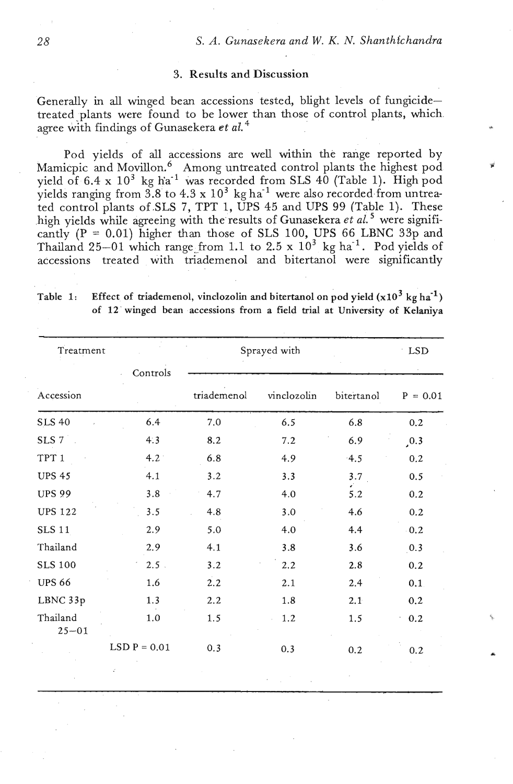## **3.** Results **and** Discussion

Generally in all winged bean accessions tested, blight levels of fungicidetreated plants were found to be lower than those of control plants, which agree with findings of Gunasekera et al.<sup>4</sup>

Pod yields of all accessions are well within the range reported by Mamicpic and Movillon.<sup>6</sup> Among untreated control plants the highest pod yield of 6.4 x 10<sup>3</sup> kg ha<sup>-1</sup> was recorded from SLS 40 (Table 1). High pod yields ranging from  $3.8$  to  $4.3 \times 10^3$  kg ha<sup>-1</sup> were also recorded from untreated control plants of.SLS 7, TPT **1,** UPS **45** and UPS 99 (Table 1). These high yields while agreeing with the results of Gunasekera et al.<sup>5</sup> were significantly  $(P = 0.01)$  higher than those of SLS 100, UPS 66 LBNC 33p and Thailand  $25-01$  which range from 1.1 to  $2.5 \times 10^3$  kg ha<sup>-1</sup>. Pod yields of accessions treated with triademenol and bitertanol were significantly

| Treatment        |               | Sprayed with |             |            | LSD              |
|------------------|---------------|--------------|-------------|------------|------------------|
| Accession        | Controls      | triademenol  | vinclozolin | bitertanol | $P = 0.01$       |
| <b>SLS 40</b>    | 6.4           | 7.0          | 6.5         | 6.8        | 0.2              |
| SLS 7            | 4:3           | 8.2          | 7.2         | 6.9        | , 0.3            |
| TPT <sub>1</sub> | $4.2^{\circ}$ | 6.8          | 4.9         | 4.5        | 0.2              |
| <b>UPS 45</b>    | 4.1           | 3.2          | 3.3         | 3.7        | 0.5              |
| <b>UPS 99</b>    | 3.8           | 4.7          | 4.0         | 5.2        | 0.2              |
| <b>UPS 122</b>   | 3.5           | 4.8          | 3.0         | 4.6        | 0.2              |
| <b>SLS 11</b>    | 2.9           | 5.0          | 4.0         | 4.4        | 0.2              |
| Thailand         | 2.9           | 4.1          | 3.8         | 3.6        | $\overline{0.3}$ |
| <b>SLS 100</b>   | $2.5$ .       | 3.2          | 2.2         | 2.8        | 0.2              |
| <b>UPS 66</b>    | 1.6           | 2.2          | 2.1         | 2.4        | 0.1              |
| LBNC 33p         | 1.3           | 2.2          | 1.8         | 2.1        | 0.2              |
| Thailand         | 1.0           | 1.5          | 1.2         | 1.5        | 0.2              |

Table 1: Effect of triademenol, vinclozolin and bitertanol on pod yield  $(x10^3 \text{ kg ha}^{-1})$ **of** 12' **winged bean accessions from a field trial at University of Kelaniya** 

LSD P =  $0.01$  0.3 0.3 0.2 0.2

 $25 - 01$ 

28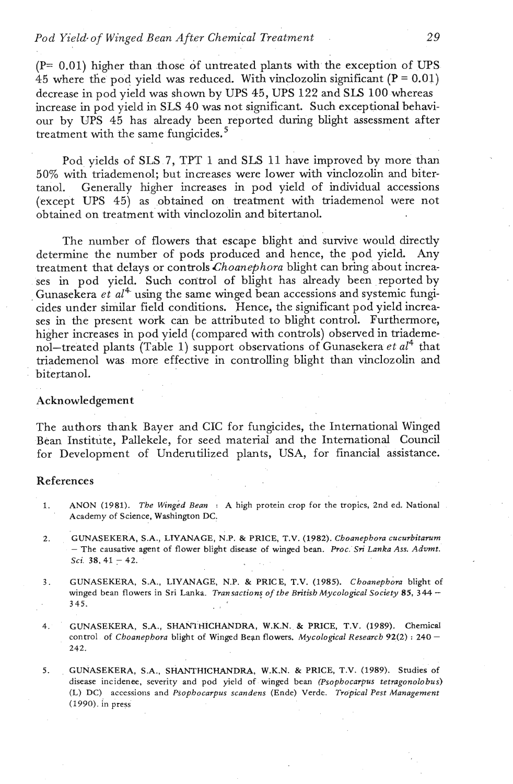## *Pod Yield. of Winged Bean After Chemical Treatment 2* 9

 $(P= 0.01)$  higher than those of untreated plants with the exception of UPS 45 where the pod yield was reduced. With vinclozolin significant  $(P = 0.01)$ decrease in pod yield was shown by UPS 45, UPS 122 and SLS 100 whereas increase in pod yield in SLS 40 was not significant. Such exceptional behaviour by UPS 45 has already been reported during blight assessment after treatment with the same fungicides. $5$ 

Pod yields of SLS 7, TPT 1 and SLS 11 have improved by more than 50% with triademenol; but increases were lower with vinclozolin and bitertanol. Generally higher increases in pod yield of individual accessions (except UPS 45) as obtained on treatment with triademenol were not obtained on treatment with vinclozolin and bitertanol.

The number of flowers that escape blight and survive would directly determine the number of pods produced and hence, the pod yield. Any treatment that delays or controls *Choanephora* blight can bring about increases in pod yield. Such control of blight has already been reported by Gunasekera *et al<sup>4</sup>* using the same winged bean accessions and systemic fungicides under similar field conditions. Hence, the significant pod yield increases in the present work can be attributed to blight control. Furthermore, higher increases in pod yield (compared with controls) observed in triademenol-treated plants (Table 1) support observations of Gunasekera *et* a14 that triademenol was more effective in controlling blight than vinclozolin and bitertanol.

#### Acknowledgement

The authors thank Bayer and CIC for fungicides, the International Winged Bean Institute, Pallekele, for seed material and the International Council for Development of Underutilized plants, USA, for financial assistance.

#### References

- 1. ANON (1981). *The winged Bean* : A high protein crop for the tropics, 2nd ed. National Academy of Science, Washington DC:
- 2. GUNASEKERA, S.A., LIYANAGE, N.P. & PRICE, T.V. (1982). *Choanephora cucurbitarum*  - The causative agent af flower blight disease of winged bean. *Proc* **Sri** *Lanka Ass. Advmt. Sci.* 38, 41 - 42.
- **3.** GUNASEKERA, SA., LIYANAGE, **N.P.** & PRICE, T.V. (1985). *~hoanephom* blight of winged bean flowers in Sri Lanka. *Transactions of the British Mycological Society* 85, 344 – 345.
- 4. GUNASEKERA, S.A., SHAN1 HICHANDRA, W.K.N. & PRICE, T.V. (1989). Chemical control of *Choanephorn* blight of Winged Bern flowers. *Mycological Research* 92(2) : 240 - **242.**
- 5. GUNASEKERA, S.A., SHANTHICHANDRA, W.K.N. & PRICE, T.V. (1989). Studies of disease incidenee, severity and pod yield of winged bean *(Psophocarpus tetmagonolobus)*  (L) DC) accessions and *Psophocarpus scandens* (Ende) Verde. *Tropical* Pest *Management*  (1990). in press